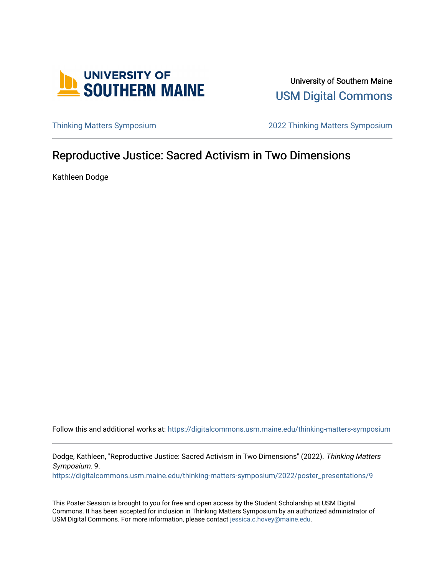

University of Southern Maine [USM Digital Commons](https://digitalcommons.usm.maine.edu/) 

[Thinking Matters Symposium](https://digitalcommons.usm.maine.edu/thinking-matters-symposium) [2022 Thinking Matters Symposium](https://digitalcommons.usm.maine.edu/thinking-matters-symposium/2022) 

#### Reproductive Justice: Sacred Activism in Two Dimensions

Kathleen Dodge

Follow this and additional works at: [https://digitalcommons.usm.maine.edu/thinking-matters-symposium](https://digitalcommons.usm.maine.edu/thinking-matters-symposium?utm_source=digitalcommons.usm.maine.edu%2Fthinking-matters-symposium%2F2022%2Fposter_presentations%2F9&utm_medium=PDF&utm_campaign=PDFCoverPages) 

Dodge, Kathleen, "Reproductive Justice: Sacred Activism in Two Dimensions" (2022). Thinking Matters Symposium. 9.

[https://digitalcommons.usm.maine.edu/thinking-matters-symposium/2022/poster\\_presentations/9](https://digitalcommons.usm.maine.edu/thinking-matters-symposium/2022/poster_presentations/9?utm_source=digitalcommons.usm.maine.edu%2Fthinking-matters-symposium%2F2022%2Fposter_presentations%2F9&utm_medium=PDF&utm_campaign=PDFCoverPages)

This Poster Session is brought to you for free and open access by the Student Scholarship at USM Digital Commons. It has been accepted for inclusion in Thinking Matters Symposium by an authorized administrator of USM Digital Commons. For more information, please contact [jessica.c.hovey@maine.edu](mailto:ian.fowler@maine.edu).